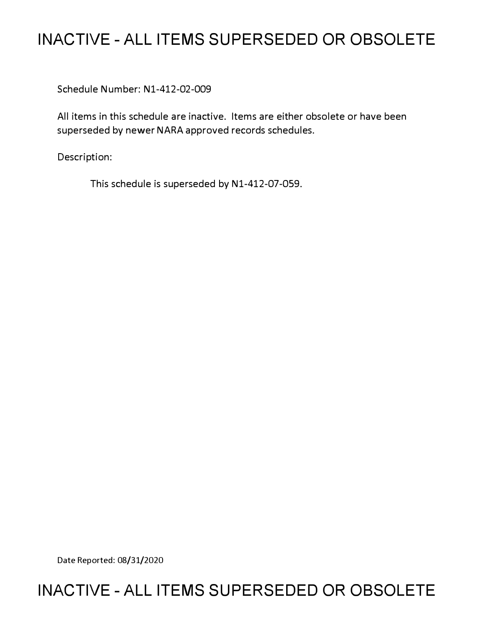## **INACTIVE - ALL ITEMS SUPERSEDED OR OBSOLETE**

Schedule Number: Nl-412-02-009

All items in this schedule are inactive. Items are either obsolete or have been superseded by newer NARA approved records schedules.

Description:

This schedule is superseded by N1-412-07-059.

Date Reported: 08/31/2020

## **INACTIVE - ALL ITEMS SUPERSEDED OR OBSOLETE**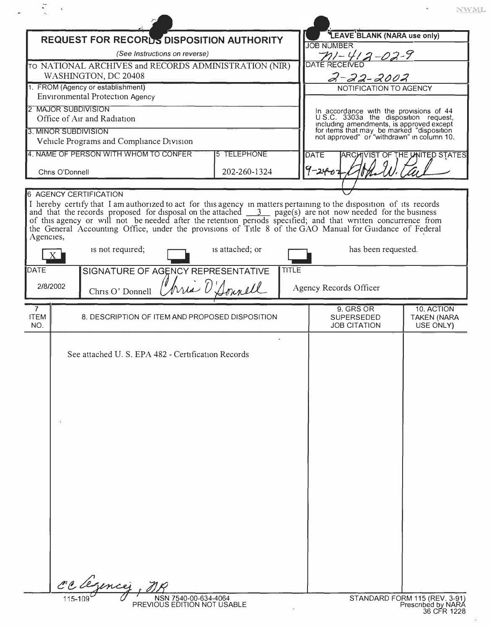|                                      |                 |                                                                                                                                                                                                                                               |                    |                      |                                                       | NWML.                                                                                                                                                                                                                   |
|--------------------------------------|-----------------|-----------------------------------------------------------------------------------------------------------------------------------------------------------------------------------------------------------------------------------------------|--------------------|----------------------|-------------------------------------------------------|-------------------------------------------------------------------------------------------------------------------------------------------------------------------------------------------------------------------------|
|                                      |                 | <b>REQUEST FOR RECORDS DISPOSITION AUTHORITY</b>                                                                                                                                                                                              |                    | <b>JOB NUMBER</b>    | LEAVE BLANK (NARA use only)                           |                                                                                                                                                                                                                         |
|                                      |                 | (See Instructions on reverse)                                                                                                                                                                                                                 |                    | $71 - 4$             | $2 - 02 - 9$                                          |                                                                                                                                                                                                                         |
|                                      |                 | TO NATIONAL ARCHIVES and RECORDS ADMINISTRATION (NIR)                                                                                                                                                                                         |                    | <b>DATE RECEIVED</b> |                                                       |                                                                                                                                                                                                                         |
|                                      |                 | WASHINGTON, DC 20408<br>1. FROM (Agency or establishment)                                                                                                                                                                                     |                    |                      | $2 - 22 - 2002$<br>NOTIFICATION TO AGENCY             |                                                                                                                                                                                                                         |
|                                      |                 | <b>Environmental Protection Agency</b>                                                                                                                                                                                                        |                    |                      |                                                       |                                                                                                                                                                                                                         |
|                                      |                 | 2 MAJOR SUBDIVISION                                                                                                                                                                                                                           |                    |                      |                                                       |                                                                                                                                                                                                                         |
|                                      |                 | Office of Air and Radiation                                                                                                                                                                                                                   |                    |                      |                                                       | In accordance with the provisions of 44<br>U.S.C. 3303a the disposition request,<br>including amendments, is approved except<br>for items that may be marked "disposition<br>not approved" or "withdrawn" in column 10. |
|                                      |                 | 3. MINOR SUBDIVISION<br>Vehicle Programs and Compliance Division                                                                                                                                                                              |                    |                      |                                                       |                                                                                                                                                                                                                         |
|                                      |                 | 4. NAME OF PERSON WITH WHOM TO CONFER                                                                                                                                                                                                         | <b>5 TELEPHONE</b> | <b>DATE</b>          | ARCH                                                  | VIST OF THE UNITED STATES                                                                                                                                                                                               |
|                                      | Chris O'Donnell |                                                                                                                                                                                                                                               | 202-260-1324       | $9 - 240$            |                                                       |                                                                                                                                                                                                                         |
|                                      |                 |                                                                                                                                                                                                                                               |                    |                      |                                                       |                                                                                                                                                                                                                         |
| Agencies,                            | X               | of this agency or will not be needed after the retention periods specified; and that written concurrence from<br>the General Accounting Office, under the provisions of Title 8 of the GAO Manual for Guidance of Federal<br>is not required; | is attached; or    |                      | has been requested.                                   |                                                                                                                                                                                                                         |
| DATE                                 |                 | SIGNATURE OF AGENCY REPRESENTATIVE                                                                                                                                                                                                            | <b>TITLE</b>       |                      |                                                       |                                                                                                                                                                                                                         |
| 2/8/2002                             |                 | Chris O' Donnell                                                                                                                                                                                                                              | bria D'Sonnell     |                      | Agency Records Officer                                |                                                                                                                                                                                                                         |
| $\overline{7}$<br><b>ITEM</b><br>NO. |                 | 8. DESCRIPTION OF ITEM AND PROPOSED DISPOSITION                                                                                                                                                                                               |                    |                      | 9. GRS OR<br><b>SUPERSEDED</b><br><b>JOB CITATION</b> | 10. ACTION<br><b>TAKEN (NARA</b><br>USE ONLY)                                                                                                                                                                           |
|                                      |                 | See attached U. S. EPA 482 - Certification Records                                                                                                                                                                                            |                    |                      |                                                       |                                                                                                                                                                                                                         |
|                                      |                 | Legencer, n                                                                                                                                                                                                                                   |                    |                      |                                                       |                                                                                                                                                                                                                         |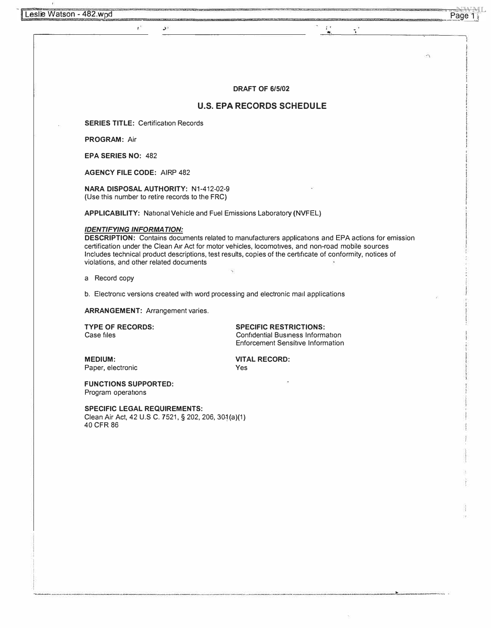$\pmb{t}$ 

 $\frac{\partial f}{\partial x}$ 

**DRAFT OF 6/5/02** 

## **U.S. EPA RECORDS SCHEDULE**

**SERIES TITLE: Certification Records** 

**PROGRAM:** Air

**EPA SERIES NO:** 482

**AGENCY FILE CODE:** AIRP 482

**NARA DISPOSAL AUTHORITY:** N1-412-02-9 (Use this number to retire records to the FRC)

**APPLICABILITY:** National Vehicle and Fuel Emissions Laboratory (NVFEL)

## *IDENTIFY/NG INFORMATION:*

**DESCRIPTION:** Contains documents related to manufacturers applications and EPA actions for emission certification under the Clean Air Act for motor vehicles, locomotives, and non-road mobile sources Includes technical product descriptions, test results, copies of the certificate of conformity, notices of violations, and other related documents

a Record copy

b. Electronic versions created with word processing and electronic mail applications

**ARRANGEMENT:** Arrangement varies.

**TYPE OF RECORDS:** SPECIFIC RESTRICTIONS:<br>
Confidential Business Inform: Case files Confidential Business Information Enforcement Sensitive Information

Paper, electronic

**MEDIUM: WEDIUM: VITAL RECORD: Paper.** electronic **VITAL RECORD:** 

**FUNCTIONS SUPPORTED:**  Program operations

**SPECIFIC LEGAL REQUIREMENTS:**  Clean Air Act, 42 U.S C. 7521, § 202, 206, 30-1(a)(1) 40 CFR 86